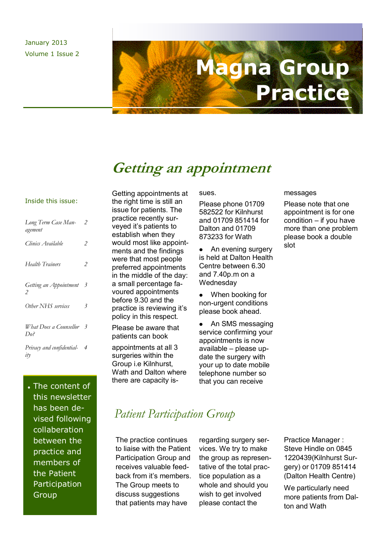#### January 2013 Volume 1 Issue 2

# **Magna Group Practice**

### **Getting an appointment**

#### Inside this issue:

| Long Term Case Man-<br>agement          | $\overline{2}$           |
|-----------------------------------------|--------------------------|
| Clinics Available                       | 2                        |
| Health Trainers                         | 2                        |
| Getting an Appointment<br>$\mathcal{P}$ | $\overline{\mathcal{Z}}$ |
| Other NHS services                      | 3                        |
| What Does a Counsellor 3<br>Do?         |                          |
| Privacy and confidential-<br>itγ        | 4                        |

The content of this newsletter has been devised following collaberation between the practice and members of the Patient Participation Group

Getting appointments at the right time is still an issue for patients. The practice recently surveyed it's patients to establish when they would most like appointments and the findings were that most people preferred appointments in the middle of the day: a small percentage favoured appointments before 9.30 and the practice is reviewing it's policy in this respect.

Please be aware that patients can book

appointments at all 3 surgeries within the Group i.e Kilnhurst, Wath and Dalton where there are capacity issues.

Please phone 01709 582522 for Kilnhurst and 01709 851414 for Dalton and 01709 873233 for Wath

An evening surgery is held at Dalton Health Centre between 6.30 and 7.40p.m on a **Wednesday** 

When booking for non-urgent conditions please book ahead.

An SMS messaging service confirming your appointments is now available – please update the surgery with your up to date mobile telephone number so that you can receive

#### messages

Please note that one appointment is for one condition – if you have more than one problem please book a double slot

### *Patient Participation Group*

The practice continues to liaise with the Patient Participation Group and receives valuable feedback from it's members. The Group meets to discuss suggestions that patients may have

regarding surgery services. We try to make the group as representative of the total practice population as a whole and should you wish to get involved please contact the

Practice Manager : Steve Hindle on 0845 1220439(Kilnhurst Surgery) or 01709 851414 (Dalton Health Centre)

We particularly need more patients from Dalton and Wath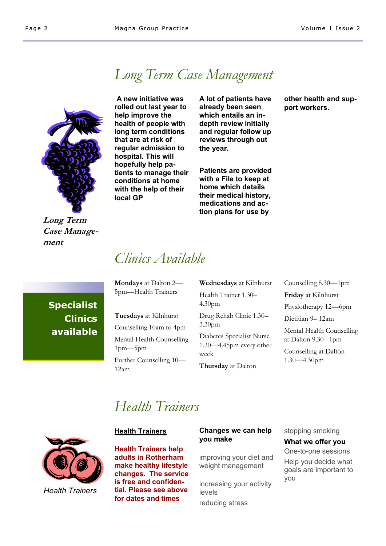## *Long Term Case Management*



**Long Term Case Management**

**A new initiative was rolled out last year to help improve the health of people with long term conditions that are at risk of regular admission to hospital. This will hopefully help patients to manage their conditions at home with the help of their local GP**

**A lot of patients have already been seen which entails an indepth review initially and regular follow up reviews through out the year.**

**Patients are provided with a File to keep at home which details their medical history, medications and action plans for use by** 

**other health and support workers.**

### *Clinics Available*

**Specialist Clinics available** **Mondays** at Dalton 2— 5pm—Health Trainers

**Tuesdays** at Kilnhurst Counselling 10am to 4pm Mental Health Counselling

1pm—5pm Further Counselling 10— 12am

**Wednesdays** at Kilnhurst Health Trainer 1.30– 4.30pm Drug Rehab Clinic 1.30– 3.30pm Diabetes Specialist Nurse 1.30—4.45pm every other week **Thursday** at Dalton

Counselling 8.30—1pm **Friday** at Kilnhurst Physiotherapy 12—6pm Dietitian 9– 12am Mental Health Counselling at Dalton 9.30– 1pm

Counselling at Dalton 1.30—4.30pm

### *Health Trainers*



*Health Trainers*

#### **Health Trainers**

**Health Trainers help adults in Rotherham make healthy lifestyle changes. The service is free and confidential. Please see above for dates and times**

#### **Changes we can help you make**

improving your diet and weight management

increasing your activity levels reducing stress

stopping smoking **What we offer you** One-to-one sessions Help you decide what goals are important to you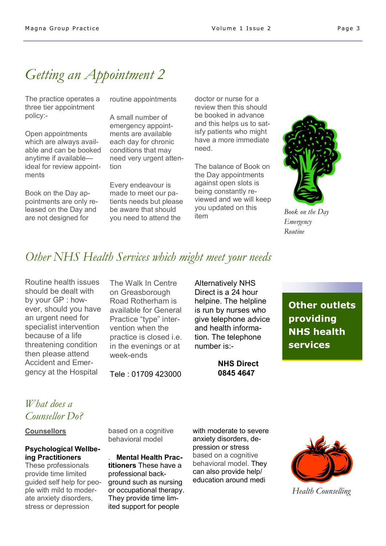# *Getting an Appointment 2*

The practice operates a three tier appointment policy:-

Open appointments which are always available and can be booked anytime if available ideal for review appointments

Book on the Day appointments are only released on the Day and are not designed for

routine appointments

A small number of emergency appointments are available each day for chronic conditions that may need very urgent attention

Every endeavour is made to meet our patients needs but please be aware that should you need to attend the

doctor or nurse for a review then this should be booked in advance and this helps us to satisfy patients who might have a more immediate need.

The balance of Book on the Day appointments against open slots is being constantly reviewed and we will keep you updated on this item



*Book on the Day Emergency Routine*

### *Other NHS Health Services which might meet your needs*

Routine health issues should be dealt with by your GP : however, should you have an urgent need for specialist intervention because of a life threatening condition then please attend Accident and Emergency at the Hospital

The Walk In Centre on Greasborough Road Rotherham is available for General Practice "type" intervention when the practice is closed i.e. in the evenings or at week-ends

Tele : 01709 423000

Alternatively NHS Direct is a 24 hour helpine. The helpline is run by nurses who give telephone advice and health information. The telephone number is:-

> **NHS Direct 0845 4647**

**Other outlets providing NHS health services**

### *What does a Counsellor Do?*

#### **Counsellors**

#### **Psychological Wellbeing Practitioners**

These professionals provide time limited guided self help for people with mild to moderate anxiety disorders, stress or depression

based on a cognitive behavioral model

. **Mental Health Practitioners** These have a professional background such as nursing or occupational therapy. They provide time limited support for people

with moderate to severe anxiety disorders, depression or stress based on a cognitive behavioral model. They can also provide help/ education around medi



*Health Counselling*